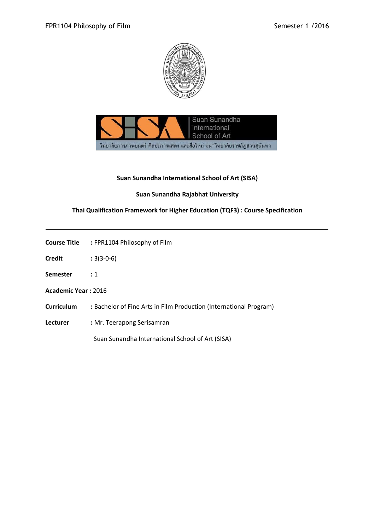



## **Suan Sunandha International School of Art (SISA)**

# **Suan Sunandha Rajabhat University**

# **Thai Qualification Framework for Higher Education (TQF3) : Course Specification**

| <b>Course Title</b> | : FPR1104 Philosophy of Film |
|---------------------|------------------------------|
|                     |                              |

- **Credit :** 3(3-0-6)
- **Semester :** 1
- **Academic Year :** 2016
- **Curriculum :** Bachelor of Fine Arts in Film Production (International Program)
- **Lecturer :** Mr. Teerapong Serisamran

Suan Sunandha International School of Art (SISA)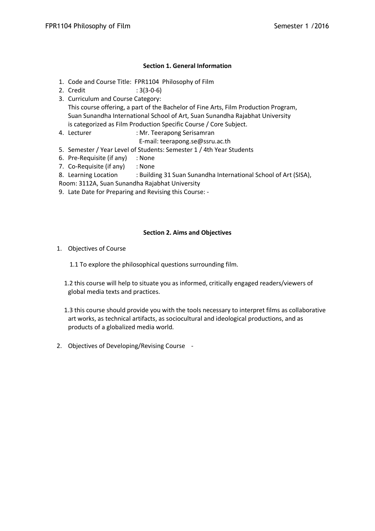## **Section 1. General Information**

- 1. Code and Course Title: FPR1104 Philosophy of Film
- 2. Credit : 3(3-0-6)
- 3. Curriculum and Course Category: This course offering, a part of the Bachelor of Fine Arts, Film Production Program, Suan Sunandha International School of Art, Suan Sunandha Rajabhat University is categorized as Film Production Specific Course / Core Subject.
- 4. Lecturer : Mr. Teerapong Serisamran
	- E-mail: teerapong.se@ssru.ac.th
- 5. Semester / Year Level of Students: Semester 1 / 4th Year Students
- 6. Pre-Requisite (if any) : None
- 7. Co-Requisite (if any) : None
- 8. Learning Location : Building 31 Suan Sunandha International School of Art (SISA),
- Room: 3112A, Suan Sunandha Rajabhat University
- 9. Late Date for Preparing and Revising this Course: -

## **Section 2. Aims and Objectives**

- 1. Objectives of Course
	- 1.1 To explore the philosophical questions surrounding film.
	- 1.2 this course will help to situate you as informed, critically engaged readers/viewers of global media texts and practices.
	- 1.3 this course should provide you with the tools necessary to interpret films as collaborative art works, as technical artifacts, as sociocultural and ideological productions, and as products of a globalized media world.
- 2. Objectives of Developing/Revising Course -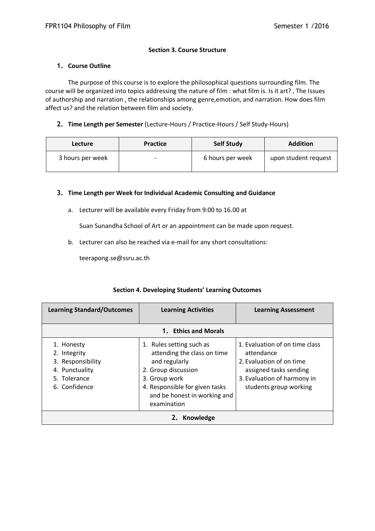## **Section 3. Course Structure**

### **1. Course Outline**

The purpose of this course is to explore the philosophical questions surrounding film. The course will be organized into topics addressing the nature of film : what film is. Is it art? , The Issues of authorship and narration , the relationships among genre,emotion, and narration. How does film affect us? and the relation between film and society.

## **2. Time Length per Semester** (Lecture-Hours / Practice-Hours / Self Study-Hours)

| Lecture          | <b>Practice</b> | <b>Self Study</b> | <b>Addition</b>      |
|------------------|-----------------|-------------------|----------------------|
| 3 hours per week |                 | 6 hours per week  | upon student request |

## **3. Time Length per Week for Individual Academic Consulting and Guidance**

a. Lecturer will be available every Friday from 9:00 to 16.00 at

Suan Sunandha School of Art or an appointment can be made upon request.

b. Lecturer can also be reached via e-mail for any short consultations:

teerapong.se@ssru.ac.th

| <b>Learning Standard/Outcomes</b>                                                                  | <b>Learning Activities</b>                                                                                                                                                                        | <b>Learning Assessment</b>                                                                                                                                  |  |
|----------------------------------------------------------------------------------------------------|---------------------------------------------------------------------------------------------------------------------------------------------------------------------------------------------------|-------------------------------------------------------------------------------------------------------------------------------------------------------------|--|
|                                                                                                    | 1. Ethics and Morals                                                                                                                                                                              |                                                                                                                                                             |  |
| 1. Honesty<br>2. Integrity<br>3. Responsibility<br>4. Punctuality<br>5. Tolerance<br>6. Confidence | 1. Rules setting such as<br>attending the class on time<br>and regularly<br>2. Group discussion<br>3. Group work<br>4. Responsible for given tasks<br>and be honest in working and<br>examination | 1. Evaluation of on time class<br>attendance<br>2. Evaluation of on time<br>assigned tasks sending<br>3. Evaluation of harmony in<br>students group working |  |
| 2. Knowledge                                                                                       |                                                                                                                                                                                                   |                                                                                                                                                             |  |

#### **Section 4. Developing Students' Learning Outcomes**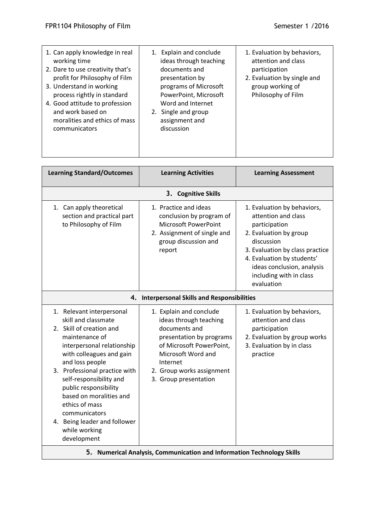while working development

| 1. Can apply knowledge in real<br>working time<br>2. Dare to use creativity that's<br>profit for Philosophy of Film<br>3. Understand in working<br>process rightly in standard<br>4. Good attitude to profession<br>and work based on<br>moralities and ethics of mass<br>communicators                                                                        | 1. Explain and conclude<br>ideas through teaching<br>documents and<br>presentation by<br>programs of Microsoft<br>PowerPoint, Microsoft<br>Word and Internet<br>2. Single and group<br>assignment and<br>discussion | 1. Evaluation by behaviors,<br>attention and class<br>participation<br>2. Evaluation by single and<br>group working of<br>Philosophy of Film                                                                                                        |
|----------------------------------------------------------------------------------------------------------------------------------------------------------------------------------------------------------------------------------------------------------------------------------------------------------------------------------------------------------------|---------------------------------------------------------------------------------------------------------------------------------------------------------------------------------------------------------------------|-----------------------------------------------------------------------------------------------------------------------------------------------------------------------------------------------------------------------------------------------------|
| <b>Learning Standard/Outcomes</b>                                                                                                                                                                                                                                                                                                                              | <b>Learning Activities</b>                                                                                                                                                                                          | <b>Learning Assessment</b>                                                                                                                                                                                                                          |
|                                                                                                                                                                                                                                                                                                                                                                | 3. Cognitive Skills                                                                                                                                                                                                 |                                                                                                                                                                                                                                                     |
| 1. Can apply theoretical<br>section and practical part<br>to Philosophy of Film                                                                                                                                                                                                                                                                                | 1. Practice and ideas<br>conclusion by program of<br><b>Microsoft PowerPoint</b><br>2. Assignment of single and<br>group discussion and<br>report                                                                   | 1. Evaluation by behaviors,<br>attention and class<br>participation<br>2. Evaluation by group<br>discussion<br>3. Evaluation by class practice<br>4. Evaluation by students'<br>ideas conclusion, analysis<br>including with in class<br>evaluation |
|                                                                                                                                                                                                                                                                                                                                                                | 4. Interpersonal Skills and Responsibilities                                                                                                                                                                        |                                                                                                                                                                                                                                                     |
| 1. Relevant interpersonal<br>skill and classmate<br>2. Skill of creation and<br>maintenance of<br>interpersonal relationship<br>with colleagues and gain<br>and loss people<br>3. Professional practice with<br>self-responsibility and<br>public responsibility<br>based on moralities and<br>ethics of mass<br>communicators<br>4. Being leader and follower | 1. Explain and conclude<br>ideas through teaching<br>documents and<br>presentation by programs<br>of Microsoft PowerPoint,<br>Microsoft Word and<br>Internet<br>2. Group works assignment<br>3. Group presentation  | 1. Evaluation by behaviors,<br>attention and class<br>participation<br>2. Evaluation by group works<br>3. Evaluation by in class<br>practice                                                                                                        |
|                                                                                                                                                                                                                                                                                                                                                                |                                                                                                                                                                                                                     |                                                                                                                                                                                                                                                     |

**5. Numerical Analysis, Communication and Information Technology Skills**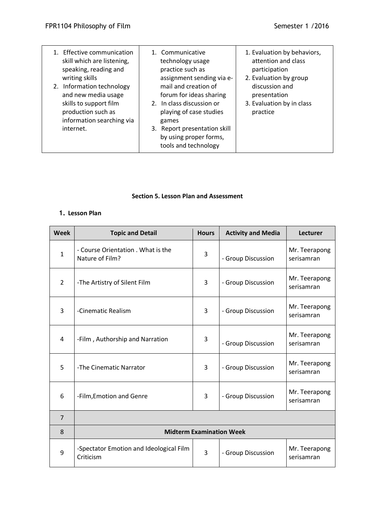| 1. Effective communication<br>skill which are listening,<br>speaking, reading and<br>writing skills<br>2. Information technology<br>and new media usage<br>skills to support film<br>production such as<br>information searching via<br>internet. | 1. Communicative<br>technology usage<br>practice such as<br>assignment sending via e-<br>mail and creation of<br>forum for ideas sharing<br>2. In class discussion or<br>playing of case studies<br>games<br>3. Report presentation skill<br>by using proper forms,<br>tools and technology | 1. Evaluation by behaviors,<br>attention and class<br>participation<br>2. Evaluation by group<br>discussion and<br>presentation<br>3. Evaluation by in class<br>practice |
|---------------------------------------------------------------------------------------------------------------------------------------------------------------------------------------------------------------------------------------------------|---------------------------------------------------------------------------------------------------------------------------------------------------------------------------------------------------------------------------------------------------------------------------------------------|--------------------------------------------------------------------------------------------------------------------------------------------------------------------------|
|                                                                                                                                                                                                                                                   |                                                                                                                                                                                                                                                                                             |                                                                                                                                                                          |

#### **Section 5. Lesson Plan and Assessment**

# **1. Lesson Plan**

| <b>Week</b>    | <b>Topic and Detail</b>                               | <b>Hours</b>   | <b>Activity and Media</b> | <b>Lecturer</b>             |
|----------------|-------------------------------------------------------|----------------|---------------------------|-----------------------------|
| $\mathbf 1$    | - Course Orientation . What is the<br>Nature of Film? | 3              | - Group Discussion        | Mr. Teerapong<br>serisamran |
| $\overline{2}$ | -The Artistry of Silent Film                          | $\overline{3}$ | - Group Discussion        | Mr. Teerapong<br>serisamran |
| 3              | -Cinematic Realism                                    | 3              | - Group Discussion        | Mr. Teerapong<br>serisamran |
| $\overline{4}$ | -Film, Authorship and Narration                       | 3              | - Group Discussion        | Mr. Teerapong<br>serisamran |
| 5              | -The Cinematic Narrator                               | 3              | - Group Discussion        | Mr. Teerapong<br>serisamran |
| 6              | -Film, Emotion and Genre                              | 3              | - Group Discussion        | Mr. Teerapong<br>serisamran |
| $\overline{7}$ |                                                       |                |                           |                             |
| 8              | <b>Midterm Examination Week</b>                       |                |                           |                             |
| 9              | -Spectator Emotion and Ideological Film<br>Criticism  | 3              | - Group Discussion        | Mr. Teerapong<br>serisamran |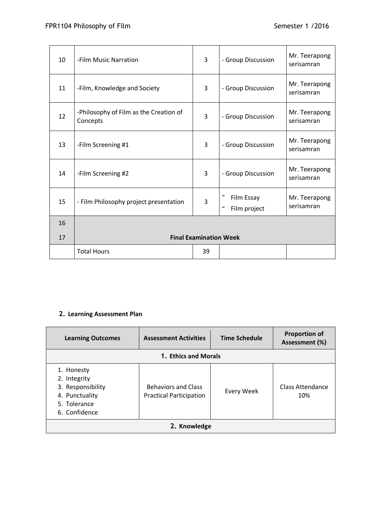| 10 | -Film Music Narration                              | 3  | - Group Discussion         | Mr. Teerapong<br>serisamran |
|----|----------------------------------------------------|----|----------------------------|-----------------------------|
| 11 | -Film, Knowledge and Society                       | 3  | - Group Discussion         | Mr. Teerapong<br>serisamran |
| 12 | -Philosophy of Film as the Creation of<br>Concepts | 3  | - Group Discussion         | Mr. Teerapong<br>serisamran |
| 13 | -Film Screening #1                                 | 3  | - Group Discussion         | Mr. Teerapong<br>serisamran |
| 14 | -Film Screening #2                                 | 3  | - Group Discussion         | Mr. Teerapong<br>serisamran |
| 15 | - Film Philosophy project presentation             | 3  | Film Essay<br>Film project | Mr. Teerapong<br>serisamran |
| 16 |                                                    |    |                            |                             |
| 17 | <b>Final Examination Week</b>                      |    |                            |                             |
|    | <b>Total Hours</b>                                 | 39 |                            |                             |

# **2. Learning Assessment Plan**

| <b>Learning Outcomes</b>                                                                           | <b>Assessment Activities</b>                                 | <b>Time Schedule</b> | <b>Proportion of</b><br>Assessment (%) |
|----------------------------------------------------------------------------------------------------|--------------------------------------------------------------|----------------------|----------------------------------------|
| 1. Ethics and Morals                                                                               |                                                              |                      |                                        |
| 1. Honesty<br>2. Integrity<br>3. Responsibility<br>4. Punctuality<br>5. Tolerance<br>6. Confidence | <b>Behaviors and Class</b><br><b>Practical Participation</b> | Every Week           | Class Attendance<br>10%                |
| 2. Knowledge                                                                                       |                                                              |                      |                                        |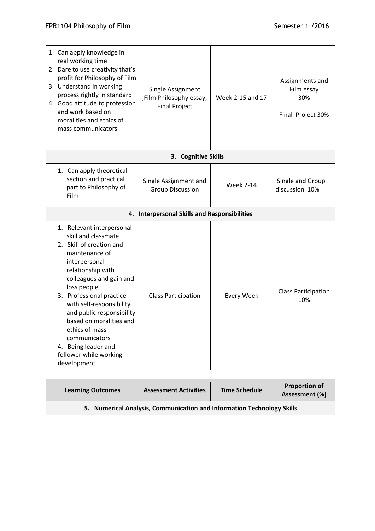| 1. Can apply knowledge in<br>real working time<br>2. Dare to use creativity that's<br>profit for Philosophy of Film<br>3. Understand in working<br>process rightly in standard<br>4. Good attitude to profession<br>and work based on<br>moralities and ethics of<br>mass communicators                                                                                                           | Single Assignment<br>,Film Philosophy essay,<br><b>Final Project</b> | Week 2-15 and 17  | Assignments and<br>Film essay<br>30%<br>Final Project 30% |
|---------------------------------------------------------------------------------------------------------------------------------------------------------------------------------------------------------------------------------------------------------------------------------------------------------------------------------------------------------------------------------------------------|----------------------------------------------------------------------|-------------------|-----------------------------------------------------------|
|                                                                                                                                                                                                                                                                                                                                                                                                   | 3. Cognitive Skills                                                  |                   |                                                           |
| 1. Can apply theoretical<br>section and practical<br>part to Philosophy of<br>Film                                                                                                                                                                                                                                                                                                                | Single Assignment and<br><b>Group Discussion</b>                     | <b>Week 2-14</b>  | Single and Group<br>discussion 10%                        |
|                                                                                                                                                                                                                                                                                                                                                                                                   | 4. Interpersonal Skills and Responsibilities                         |                   |                                                           |
| 1. Relevant interpersonal<br>skill and classmate<br>2. Skill of creation and<br>maintenance of<br>interpersonal<br>relationship with<br>colleagues and gain and<br>loss people<br>3. Professional practice<br>with self-responsibility<br>and public responsibility<br>based on moralities and<br>ethics of mass<br>communicators<br>4. Being leader and<br>follower while working<br>development | <b>Class Participation</b>                                           | <b>Every Week</b> | <b>Class Participation</b><br>10%                         |

| <b>Learning Outcomes</b>                                               | <b>Assessment Activities</b> | <b>Time Schedule</b> | <b>Proportion of</b><br>Assessment (%) |  |
|------------------------------------------------------------------------|------------------------------|----------------------|----------------------------------------|--|
| 5. Numerical Analysis, Communication and Information Technology Skills |                              |                      |                                        |  |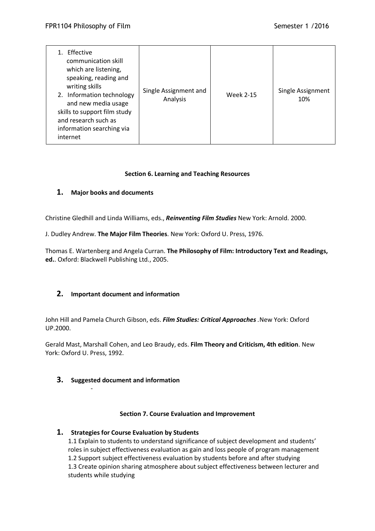| Effective<br>communication skill<br>which are listening,<br>speaking, reading and<br>writing skills<br>2. Information technology<br>and new media usage<br>skills to support film study<br>and research such as<br>information searching via<br>internet | Single Assignment and<br>Analysis | <b>Week 2-15</b> | Single Assignment<br>10% |
|----------------------------------------------------------------------------------------------------------------------------------------------------------------------------------------------------------------------------------------------------------|-----------------------------------|------------------|--------------------------|
|----------------------------------------------------------------------------------------------------------------------------------------------------------------------------------------------------------------------------------------------------------|-----------------------------------|------------------|--------------------------|

## **Section 6. Learning and Teaching Resources**

## **1. Major books and documents**

Christine Gledhill and Linda Williams, eds., *Reinventing Film Studies* New York: Arnold. 2000.

J. Dudley Andrew. **The Major Film Theories**. New York: Oxford U. Press, 1976.

Thomas E. Wartenberg and Angela Curran. **The Philosophy of Film: Introductory Text and Readings, ed.**. Oxford: Blackwell Publishing Ltd., 2005.

## **2. Important document and information**

John Hill and Pamela Church Gibson, eds. *Film Studies: Critical Approaches .*New York: Oxford UP.2000.

Gerald Mast, Marshall Cohen, and Leo Braudy, eds. **Film Theory and Criticism, 4th edition**. New York: Oxford U. Press, 1992.

## **3. Suggested document and information**

-

#### **Section 7. Course Evaluation and Improvement**

## **1. Strategies for Course Evaluation by Students**

1.1 Explain to students to understand significance of subject development and students' roles in subject effectiveness evaluation as gain and loss people of program management 1.2 Support subject effectiveness evaluation by students before and after studying 1.3 Create opinion sharing atmosphere about subject effectiveness between lecturer and students while studying